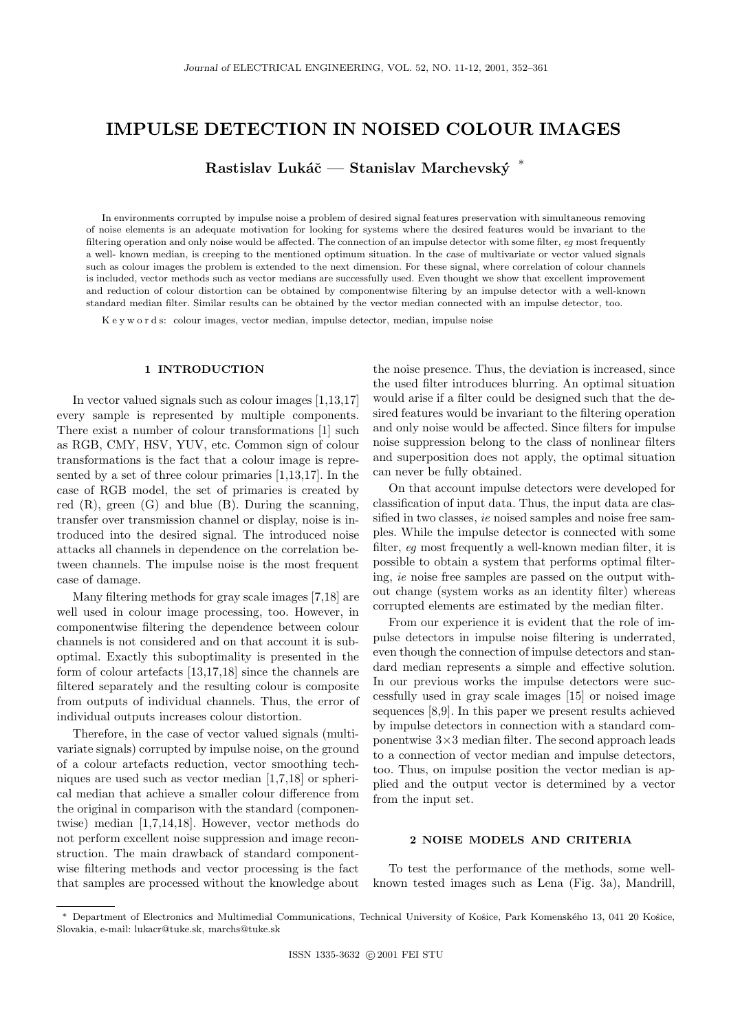# **IMPULSE DETECTION IN NOISED COLOUR IMAGES**

Rastislav Lukáč — Stanislav Marchevský<sup>\*</sup>

In environments corrupted by impulse noise a problem of desired signal features preservation with simultaneous removing of noise elements is an adequate motivation for looking for systems where the desired features would be invariant to the filtering operation and only noise would be affected. The connection of an impulse detector with some filter, *eg* most frequently a well- known median, is creeping to the mentioned optimum situation. In the case of multivariate or vector valued signals such as colour images the problem is extended to the next dimension. For these signal, where correlation of colour channels is included, vector methods such as vector medians are successfully used. Even thought we show that excellent improvement and reduction of colour distortion can be obtained by componentwise filtering by an impulse detector with a well-known standard median filter. Similar results can be obtained by the vector median connected with an impulse detector, too.

K e y w o r d s: colour images, vector median, impulse detector, median, impulse noise

### **1 INTRODUCTION**

In vector valued signals such as colour images [1,13,17] every sample is represented by multiple components. There exist a number of colour transformations [1] such as RGB, CMY, HSV, YUV, etc. Common sign of colour transformations is the fact that a colour image is represented by a set of three colour primaries [1,13,17]. In the case of RGB model, the set of primaries is created by red  $(R)$ , green  $(G)$  and blue  $(B)$ . During the scanning, transfer over transmission channel or display, noise is introduced into the desired signal. The introduced noise attacks all channels in dependence on the correlation between channels. The impulse noise is the most frequent case of damage.

Many filtering methods for gray scale images [7,18] are well used in colour image processing, too. However, in componentwise filtering the dependence between colour channels is not considered and on that account it is suboptimal. Exactly this suboptimality is presented in the form of colour artefacts [13,17,18] since the channels are filtered separately and the resulting colour is composite from outputs of individual channels. Thus, the error of individual outputs increases colour distortion.

Therefore, in the case of vector valued signals (multivariate signals) corrupted by impulse noise, on the ground of a colour artefacts reduction, vector smoothing techniques are used such as vector median [1,7,18] or spherical median that achieve a smaller colour difference from the original in comparison with the standard (componentwise) median [1,7,14,18]. However, vector methods do not perform excellent noise suppression and image reconstruction. The main drawback of standard componentwise filtering methods and vector processing is the fact that samples are processed without the knowledge about the noise presence. Thus, the deviation is increased, since the used filter introduces blurring. An optimal situation would arise if a filter could be designed such that the desired features would be invariant to the filtering operation and only noise would be affected. Since filters for impulse noise suppression belong to the class of nonlinear filters and superposition does not apply, the optimal situation can never be fully obtained.

On that account impulse detectors were developed for classification of input data. Thus, the input data are classified in two classes, *ie* noised samples and noise free samples. While the impulse detector is connected with some filter, *eg* most frequently a well-known median filter, it is possible to obtain a system that performs optimal filtering, *ie* noise free samples are passed on the output without change (system works as an identity filter) whereas corrupted elements are estimated by the median filter.

From our experience it is evident that the role of impulse detectors in impulse noise filtering is underrated, even though the connection of impulse detectors and standard median represents a simple and effective solution. In our previous works the impulse detectors were successfully used in gray scale images [15] or noised image sequences [8,9]. In this paper we present results achieved by impulse detectors in connection with a standard componentwise 3×3 median filter. The second approach leads to a connection of vector median and impulse detectors, too. Thus, on impulse position the vector median is applied and the output vector is determined by a vector from the input set.

### **2 NOISE MODELS AND CRITERIA**

To test the performance of the methods, some wellknown tested images such as Lena (Fig. 3a), Mandrill,

<sup>\*</sup> Department of Electronics and Multimedial Communications, Technical University of Košice, Park Komenského 13, 041 20 Košice, Slovakia, e-mail: lukacr@tuke.sk, marchs@tuke.sk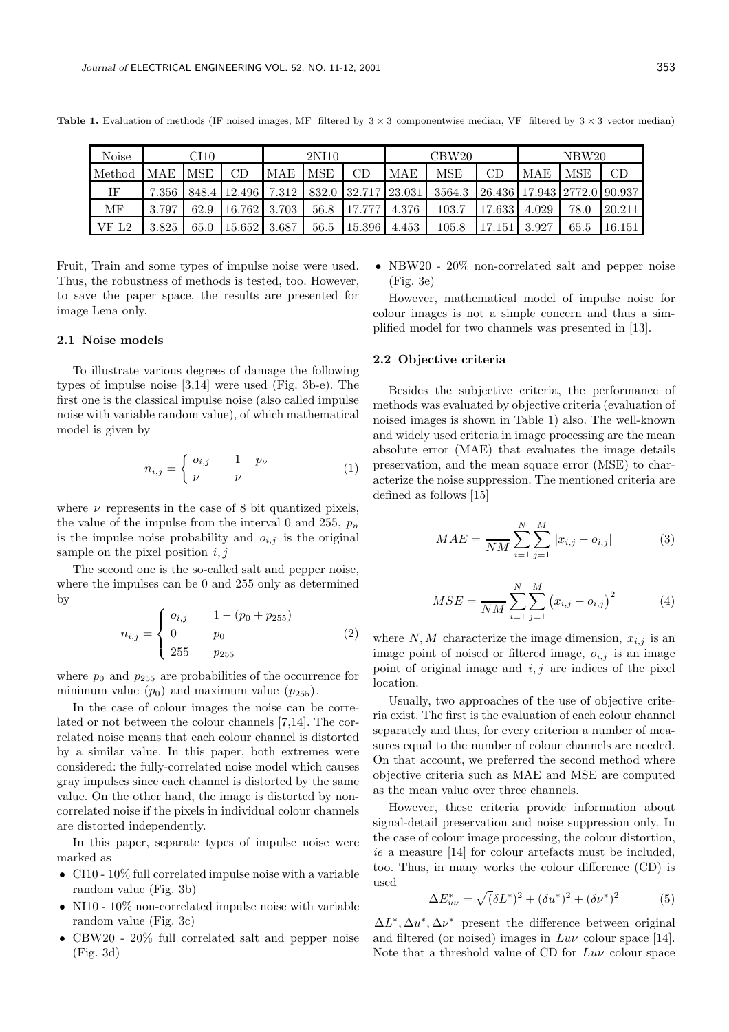| <b>Noise</b> | CI10  |            |              | 2NI10   |            |                     |       | $\mathrm{CBW20}$ |        | NBW <sub>20</sub>           |            |        |  |
|--------------|-------|------------|--------------|---------|------------|---------------------|-------|------------------|--------|-----------------------------|------------|--------|--|
| Method       | MAE   | <b>MSE</b> | CD           | MAE     | <b>MSE</b> | CD                  | MAE   | MSE              | СL     | MAE                         | <b>MSE</b> | CD     |  |
| ΙF           | 7.356 |            | 848.4 12.496 | 7.312 l |            | 832.0 32.717 23.031 |       | 3564.3           |        | 26.436 17.943 2772.0 90.937 |            |        |  |
| МF           | 3.797 | 62.9       | 16.762 3.703 |         | 56.8       | 17.777              | 4.376 | 103.7            | 17.633 | 4.029                       | 78.0       | 20.211 |  |
| VFL2         | 3.825 | 65.0       | 15.652       | 3.687   | 56.5       | 15.396              | 4.453 | 105.8            | 17.151 | 3.927                       | 65.5       | 16.151 |  |

**Table 1.** Evaluation of methods (IF noised images, MF filtered by  $3 \times 3$  componentwise median, VF filtered by  $3 \times 3$  vector median)

Fruit, Train and some types of impulse noise were used. Thus, the robustness of methods is tested, too. However, to save the paper space, the results are presented for image Lena only.

## **2.1 Noise models**

To illustrate various degrees of damage the following types of impulse noise [3,14] were used (Fig. 3b-e). The first one is the classical impulse noise (also called impulse noise with variable random value), of which mathematical model is given by

$$
n_{i,j} = \begin{cases} o_{i,j} & 1 - p_{\nu} \\ \nu & \nu \end{cases}
$$
 (1)

where  $\nu$  represents in the case of 8 bit quantized pixels, the value of the impulse from the interval 0 and 255,  $p_n$ is the impulse noise probability and  $o_{i,j}$  is the original sample on the pixel position  $i, j$ 

The second one is the so-called salt and pepper noise, where the impulses can be 0 and 255 only as determined by

$$
n_{i,j} = \begin{cases} o_{i,j} & 1 - (p_0 + p_{255}) \\ 0 & p_0 \\ 255 & p_{255} \end{cases}
$$
 (2)

where  $p_0$  and  $p_{255}$  are probabilities of the occurrence for minimum value  $(p_0)$  and maximum value  $(p_{255})$ .

In the case of colour images the noise can be correlated or not between the colour channels [7,14]. The correlated noise means that each colour channel is distorted by a similar value. In this paper, both extremes were considered: the fully-correlated noise model which causes gray impulses since each channel is distorted by the same value. On the other hand, the image is distorted by noncorrelated noise if the pixels in individual colour channels are distorted independently.

In this paper, separate types of impulse noise were marked as

- CI10 10% full correlated impulse noise with a variable random value (Fig. 3b)
- NI10 10% non-correlated impulse noise with variable random value (Fig. 3c)
- CBW20 20% full correlated salt and pepper noise (Fig. 3d)

• NBW20 - 20% non-correlated salt and pepper noise (Fig. 3e)

However, mathematical model of impulse noise for colour images is not a simple concern and thus a simplified model for two channels was presented in [13].

#### **2.2 Objective criteria**

Besides the subjective criteria, the performance of methods was evaluated by objective criteria (evaluation of noised images is shown in Table 1) also. The well-known and widely used criteria in image processing are the mean absolute error (MAE) that evaluates the image details preservation, and the mean square error (MSE) to characterize the noise suppression. The mentioned criteria are defined as follows [15]

$$
MAE = \frac{N}{NM} \sum_{i=1}^{N} \sum_{j=1}^{M} |x_{i,j} - o_{i,j}|
$$
 (3)

$$
MSE = \frac{N}{NM} \sum_{i=1}^{N} \sum_{j=1}^{M} (x_{i,j} - o_{i,j})^2
$$
 (4)

where  $N, M$  characterize the image dimension,  $x_{i,j}$  is an image point of noised or filtered image,  $o_{i,j}$  is an image point of original image and  $i, j$  are indices of the pixel location.

Usually, two approaches of the use of objective criteria exist. The first is the evaluation of each colour channel separately and thus, for every criterion a number of measures equal to the number of colour channels are needed. On that account, we preferred the second method where objective criteria such as MAE and MSE are computed as the mean value over three channels.

However, these criteria provide information about signal-detail preservation and noise suppression only. In the case of colour image processing, the colour distortion, *ie* a measure [14] for colour artefacts must be included, too. Thus, in many works the colour difference (CD) is used

$$
\Delta E_{uv}^* = \sqrt{(\delta L^*)^2 + (\delta u^*)^2 + (\delta \nu^*)^2}
$$
 (5)

 $\Delta L^*, \Delta u^*, \Delta \nu^*$  present the difference between original and filtered (or noised) images in  $Luv$  colour space [14]. Note that a threshold value of CD for  $Luv$  colour space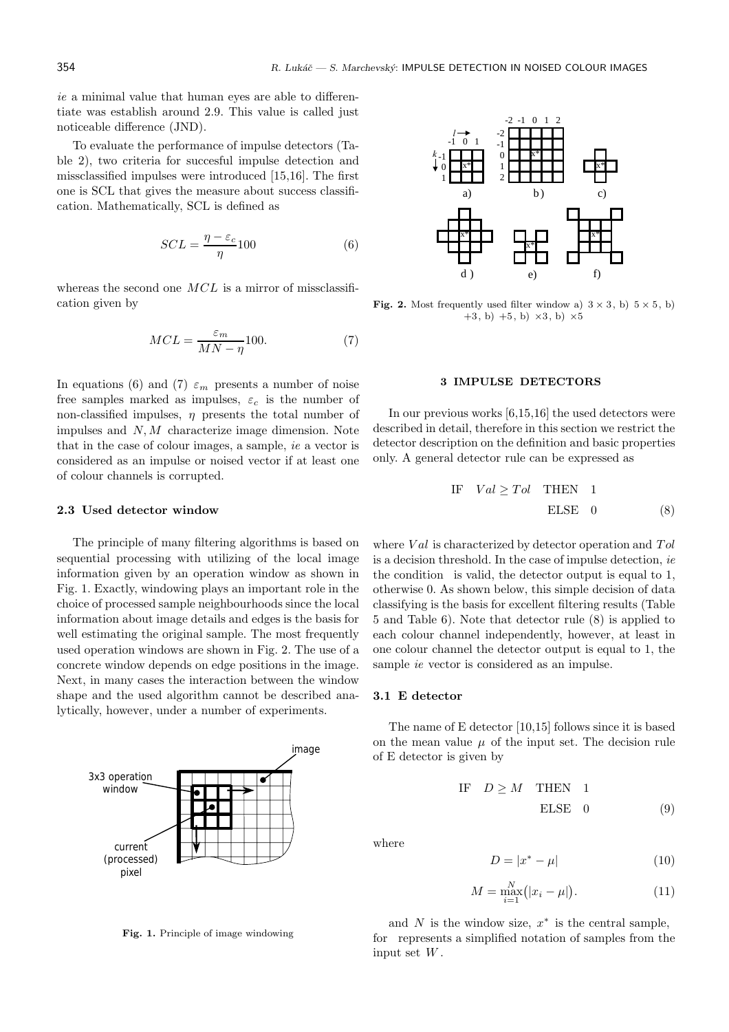*ie* a minimal value that human eyes are able to differentiate was establish around 2.9. This value is called just noticeable difference (JND).

To evaluate the performance of impulse detectors (Table 2), two criteria for succesful impulse detection and missclassified impulses were introduced [15,16]. The first one is SCL that gives the measure about success classification. Mathematically, SCL is defined as

$$
SCL = \frac{\eta - \varepsilon_c}{\eta} 100\tag{6}
$$

whereas the second one  $MCL$  is a mirror of missclassification given by

$$
MCL = \frac{\varepsilon_m}{MN - \eta} 100.
$$
 (7)

In equations (6) and (7)  $\varepsilon_m$  presents a number of noise free samples marked as impulses,  $\varepsilon_c$  is the number of non-classified impulses,  $\eta$  presents the total number of impulses and  $N, M$  characterize image dimension. Note that in the case of colour images, a sample, *ie* a vector is considered as an impulse or noised vector if at least one of colour channels is corrupted.

#### **2.3 Used detector window**

The principle of many filtering algorithms is based on sequential processing with utilizing of the local image information given by an operation window as shown in Fig. 1. Exactly, windowing plays an important role in the choice of processed sample neighbourhoods since the local information about image details and edges is the basis for well estimating the original sample. The most frequently used operation windows are shown in Fig. 2. The use of a concrete window depends on edge positions in the image. Next, in many cases the interaction between the window shape and the used algorithm cannot be described analytically, however, under a number of experiments.



**Fig. 1.** Principle of image windowing



**Fig. 2.** Most frequently used filter window a)  $3 \times 3$ , b)  $5 \times 5$ , b)  $+3$ , b)  $+5$ , b)  $\times3$ , b)  $\times5$ 

### **3 IMPULSE DETECTORS**

In our previous works [6,15,16] the used detectors were described in detail, therefore in this section we restrict the detector description on the definition and basic properties only. A general detector rule can be expressed as

IF 
$$
Val \geq Tol
$$
 THEN 1  
ELSE 0 (8)

where  $Val$  is characterized by detector operation and  $Tol$ is a decision threshold. In the case of impulse detection, *ie* the condition is valid, the detector output is equal to 1, otherwise 0. As shown below, this simple decision of data classifying is the basis for excellent filtering results (Table 5 and Table 6). Note that detector rule (8) is applied to each colour channel independently, however, at least in one colour channel the detector output is equal to 1, the sample *ie* vector is considered as an impulse.

#### **3.1 E detector**

The name of E detector [10,15] follows since it is based on the mean value  $\mu$  of the input set. The decision rule of E detector is given by

IF 
$$
D \geq M
$$
 THEN 1  
ELSE 0 (9)

where

$$
D = |x^* - \mu| \tag{10}
$$

$$
M = \max_{i=1}^{N} (|x_i - \mu|). \tag{11}
$$

and  $N$  is the window size,  $x^*$  is the central sample, for represents a simplified notation of samples from the input set W .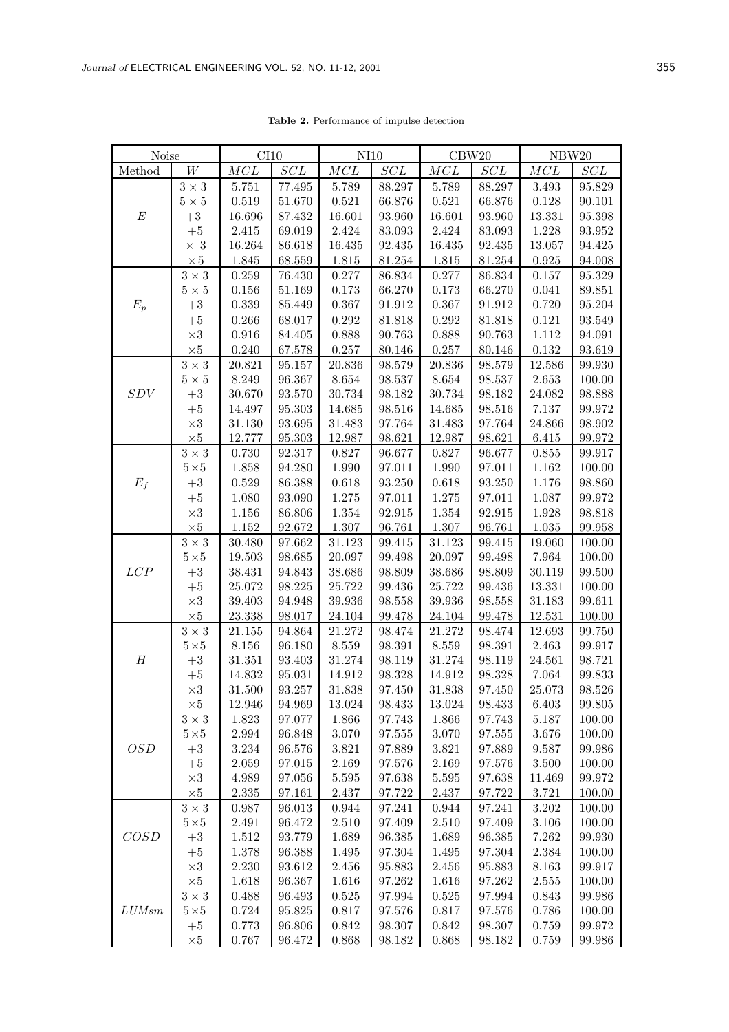| Noise            |                | CI10       |                       | N <sub>10</sub> |        | CBW20  |                       | NBW20     |        |  |
|------------------|----------------|------------|-----------------------|-----------------|--------|--------|-----------------------|-----------|--------|--|
| Method           | W              | MCL        | $SCL$                 | $MCL$           | $SCL$  | $MCL$  | SCL                   | MCL       | SCL    |  |
|                  | $3\times3$     | 5.751      | 77.495                | 5.789           | 88.297 | 5.789  | 88.297                | 3.493     | 95.829 |  |
|                  | $5\times 5$    | 0.519      | 51.670                | 0.521           | 66.876 | 0.521  | 66.876                | 0.128     | 90.101 |  |
| $\boldsymbol{E}$ | $+3$           | 16.696     | 87.432                | 16.601          | 93.960 | 16.601 | 93.960                | 13.331    | 95.398 |  |
|                  | $+5$           | 2.415      | 69.019                | 2.424           | 83.093 | 2.424  | 83.093                | 1.228     | 93.952 |  |
|                  | $\times$ 3     | 16.264     | 86.618                | 16.435          | 92.435 | 16.435 | 92.435                | 13.057    | 94.425 |  |
|                  | $\times\,5$    | 1.845      | 68.559                | 1.815           | 81.254 | 1.815  | 81.254                | 0.925     | 94.008 |  |
|                  | $3\times3$     | 0.259      | 76.430                | 0.277           | 86.834 | 0.277  | 86.834                | 0.157     | 95.329 |  |
|                  | $5\times5$     | 0.156      | 51.169                | 0.173           | 66.270 | 0.173  | 66.270                | 0.041     | 89.851 |  |
| $E_p$            | $+3$           | 0.339      | 85.449                | 0.367           | 91.912 | 0.367  | 91.912                | 0.720     | 95.204 |  |
|                  | $+5$           | 0.266      | 68.017                | 0.292           | 81.818 | 0.292  | 81.818                | 0.121     | 93.549 |  |
|                  | $\times 3$     | 0.916      | 84.405                | 0.888           | 90.763 | 0.888  | 90.763                | 1.112     | 94.091 |  |
|                  | $\times 5$     | 0.240      | 67.578                | 0.257           | 80.146 | 0.257  | 80.146                | 0.132     | 93.619 |  |
|                  | $3\times3$     | 20.821     | 95.157                | 20.836          | 98.579 | 20.836 | 98.579                | 12.586    | 99.930 |  |
|                  | $5\times5$     | 8.249      | 96.367                | $8.654\,$       | 98.537 | 8.654  | $98.537\,$            | 2.653     | 100.00 |  |
| SDV              | $\rm +3$       | 30.670     | 93.570                | 30.734          | 98.182 | 30.734 | 98.182                | 24.082    | 98.888 |  |
|                  | $+5$           | 14.497     | 95.303                | 14.685          | 98.516 | 14.685 | 98.516                | 7.137     | 99.972 |  |
|                  | $\times 3$     | 31.130     | $\boldsymbol{93.695}$ | 31.483          | 97.764 | 31.483 | 97.764                | 24.866    | 98.902 |  |
|                  | $\times 5$     | 12.777     | 95.303                | 12.987          | 98.621 | 12.987 | 98.621                | $6.415\,$ | 99.972 |  |
|                  | $3\times3$     | 0.730      | 92.317                | 0.827           | 96.677 | 0.827  | 96.677                | 0.855     | 99.917 |  |
|                  | $5\!\times\!5$ | 1.858      | 94.280                | 1.990           | 97.011 | 1.990  | $97.011\,$            | 1.162     | 100.00 |  |
| $E_f$            | $+3$           | 0.529      | 86.388                | 0.618           | 93.250 | 0.618  | 93.250                | 1.176     | 98.860 |  |
|                  | $+5$           | 1.080      | 93.090                | 1.275           | 97.011 | 1.275  | 97.011                | 1.087     | 99.972 |  |
|                  | $\times 3$     | 1.156      | 86.806                | 1.354           | 92.915 | 1.354  | 92.915                | 1.928     | 98.818 |  |
|                  | $\times 5$     | 1.152      | 92.672                | 1.307           | 96.761 | 1.307  | 96.761                | 1.035     | 99.958 |  |
|                  | $3\times3$     | $30.480\,$ | 97.662                | $31.123\,$      | 99.415 | 31.123 | 99.415                | 19.060    | 100.00 |  |
|                  | $5\!\times\!5$ | 19.503     | 98.685                | 20.097          | 99.498 | 20.097 | 99.498                | 7.964     | 100.00 |  |
| LCP              | $\rm +3$       | 38.431     | 94.843                | 38.686          | 98.809 | 38.686 | 98.809                | 30.119    | 99.500 |  |
|                  | $+5$           | 25.072     | 98.225                | 25.722          | 99.436 | 25.722 | 99.436                | 13.331    | 100.00 |  |
|                  | $\times 3$     | 39.403     | 94.948                | 39.936          | 98.558 | 39.936 | $98.558\,$            | 31.183    | 99.611 |  |
|                  | $\times 5$     | 23.338     | $98.017\,$            | 24.104          | 99.478 | 24.104 | 99.478                | 12.531    | 100.00 |  |
|                  | $3\times3$     | 21.155     | 94.864                | 21.272          | 98.474 | 21.272 | 98.474                | 12.693    | 99.750 |  |
|                  | $5\!\times\!5$ | 8.156      | 96.180                | 8.559           | 98.391 | 8.559  | $\boldsymbol{98.391}$ | 2.463     | 99.917 |  |
| $\boldsymbol{H}$ | $+3$           | 31.351     | 93.403                | 31.274          | 98.119 | 31.274 | 98.119                | 24.561    | 98.721 |  |
|                  | $+5$           | 14.832     | 95.031                | 14.912          | 98.328 | 14.912 | $98.328\,$            | 7.064     | 99.833 |  |
|                  | $\times 3$     | $31.500\,$ | 93.257                | 31.838          | 97.450 | 31.838 | 97.450                | 25.073    | 98.526 |  |
|                  | $\times 5$     | 12.946     | 94.969                | 13.024          | 98.433 | 13.024 | 98.433                | 6.403     | 99.805 |  |
|                  | $3\times3$     | 1.823      | 97.077                | 1.866           | 97.743 | 1.866  | 97.743                | 5.187     | 100.00 |  |
|                  | $5\!\times\!5$ | 2.994      | 96.848                | 3.070           | 97.555 | 3.070  | 97.555                | 3.676     | 100.00 |  |
| OSD              | $+3$           | 3.234      | 96.576                | 3.821           | 97.889 | 3.821  | 97.889                | 9.587     | 99.986 |  |
|                  | $+5$           | 2.059      | 97.015                | 2.169           | 97.576 | 2.169  | 97.576                | 3.500     | 100.00 |  |
|                  | $\times 3$     | 4.989      | 97.056                | $5.595\,$       | 97.638 | 5.595  | 97.638                | 11.469    | 99.972 |  |
|                  | $\times 5$     | 2.335      | 97.161                | 2.437           | 97.722 | 2.437  | 97.722                | $3.721\,$ | 100.00 |  |
|                  | $3\times3$     | 0.987      | 96.013                | 0.944           | 97.241 | 0.944  | $\mathbf{97.241}$     | 3.202     | 100.00 |  |
|                  | $5\!\times\!5$ | 2.491      | 96.472                | 2.510           | 97.409 | 2.510  | 97.409                | 3.106     | 100.00 |  |
| COSD             | $+3$           | 1.512      | 93.779                | 1.689           | 96.385 | 1.689  | 96.385                | 7.262     | 99.930 |  |
|                  | $+5$           | 1.378      | 96.388                | 1.495           | 97.304 | 1.495  | 97.304                | 2.384     | 100.00 |  |
|                  | $\times 3$     | 2.230      | 93.612                | 2.456           | 95.883 | 2.456  | 95.883                | 8.163     | 99.917 |  |
|                  | $\times 5$     | 1.618      | 96.367                | 1.616           | 97.262 | 1.616  | 97.262                | 2.555     | 100.00 |  |
|                  | $3\times3$     | 0.488      | 96.493                | 0.525           | 97.994 | 0.525  | 97.994                | 0.843     | 99.986 |  |
| LUMsm            | $5\!\times\!5$ | 0.724      | 95.825                | 0.817           | 97.576 | 0.817  | 97.576                | 0.786     | 100.00 |  |
|                  | $+5$           | $0.773\,$  | 96.806                | 0.842           | 98.307 | 0.842  | 98.307                | 0.759     | 99.972 |  |

 $\times5$  0.767 96.472 0.868 98.182 0.868 98.182 0.759 99.986

**Table 2.** Performance of impulse detection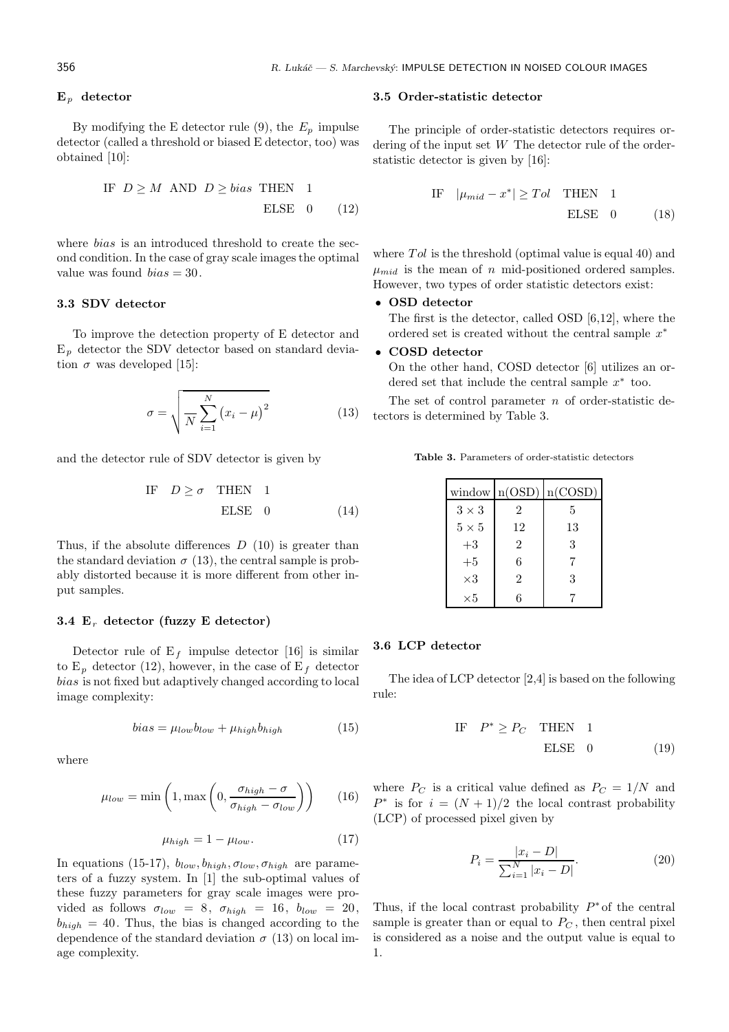#### **E**<sup>p</sup> **detector**

By modifying the E detector rule (9), the  $E_p$  impulse detector (called a threshold or biased E detector, too) was obtained [10]:

IF 
$$
D \geq M
$$
 AND  $D \geq bias$  THEN 1  
ELSE 0 (12)

where *bias* is an introduced threshold to create the second condition. In the case of gray scale images the optimal value was found  $bias = 30$ .

### **3.3 SDV detector**

To improve the detection property of E detector and  $E_p$  detector the SDV detector based on standard deviation  $\sigma$  was developed [15]:

$$
\sigma = \sqrt{\frac{N}{N} \sum_{i=1}^{N} (x_i - \mu)^2}
$$
 (13)

and the detector rule of SDV detector is given by

IF 
$$
D \ge \sigma
$$
 THEN 1  
ELSE 0 (14)

Thus, if the absolute differences  $D(10)$  is greater than the standard deviation  $\sigma$  (13), the central sample is probably distorted because it is more different from other input samples.

### **3.4 E**<sup>r</sup> **detector (fuzzy E detector)**

Detector rule of  $E_f$  impulse detector [16] is similar to  $E_p$  detector (12), however, in the case of  $E_f$  detector bias is not fixed but adaptively changed according to local image complexity:

$$
bias = \mu_{low} b_{low} + \mu_{high} b_{high} \tag{15}
$$

where

$$
\mu_{low} = \min\left(1, \max\left(0, \frac{\sigma_{high} - \sigma}{\sigma_{high} - \sigma_{low}}\right)\right) \tag{16}
$$

$$
\mu_{high} = 1 - \mu_{low}.\tag{17}
$$

In equations (15-17),  $b_{low}, b_{high}, \sigma_{low}, \sigma_{high}$  are parameters of a fuzzy system. In [1] the sub-optimal values of these fuzzy parameters for gray scale images were provided as follows  $\sigma_{low} = 8$ ,  $\sigma_{high} = 16$ ,  $b_{low} = 20$ ,  $b_{high} = 40$ . Thus, the bias is changed according to the dependence of the standard deviation  $\sigma$  (13) on local image complexity.

### **3.5 Order-statistic detector**

The principle of order-statistic detectors requires ordering of the input set W The detector rule of the orderstatistic detector is given by [16]:

IF 
$$
|\mu_{mid} - x^*| \geq Tol
$$
 THEN 1  
ELSE 0 (18)

where  $Tol$  is the threshold (optimal value is equal 40) and  $\mu_{mid}$  is the mean of n mid-positioned ordered samples. However, two types of order statistic detectors exist:

### • **OSD detector**

The first is the detector, called OSD [6,12], where the ordered set is created without the central sample  $x^*$ 

#### • **COSD detector**

On the other hand, COSD detector [6] utilizes an ordered set that include the central sample  $x^*$  too.

The set of control parameter  $n$  of order-statistic detectors is determined by Table 3.

**Table 3.** Parameters of order-statistic detectors

|              |                | window $n(OSD)$ $n(COSD)$ |
|--------------|----------------|---------------------------|
| $3 \times 3$ | $\mathcal{D}$  | 5                         |
| $5 \times 5$ | 12             | 13                        |
| $+3$         | $\overline{2}$ | 3                         |
| $+5$         | 6              |                           |
| $\times 3$   | $\overline{2}$ | 3                         |
| $\times 5$   | 6              |                           |

#### **3.6 LCP detector**

The idea of LCP detector [2,4] is based on the following rule:

IF 
$$
P^* \ge P_C
$$
 THEN 1  
ELSE 0 (19)

where  $P_C$  is a critical value defined as  $P_C = 1/N$  and  $P^*$  is for  $i = (N + 1)/2$  the local contrast probability (LCP) of processed pixel given by

$$
P_i = \frac{|x_i - D|}{\sum_{i=1}^{N} |x_i - D|}.
$$
\n(20)

Thus, if the local contrast probability  $P^*$  of the central sample is greater than or equal to  $P<sub>C</sub>$ , then central pixel is considered as a noise and the output value is equal to 1.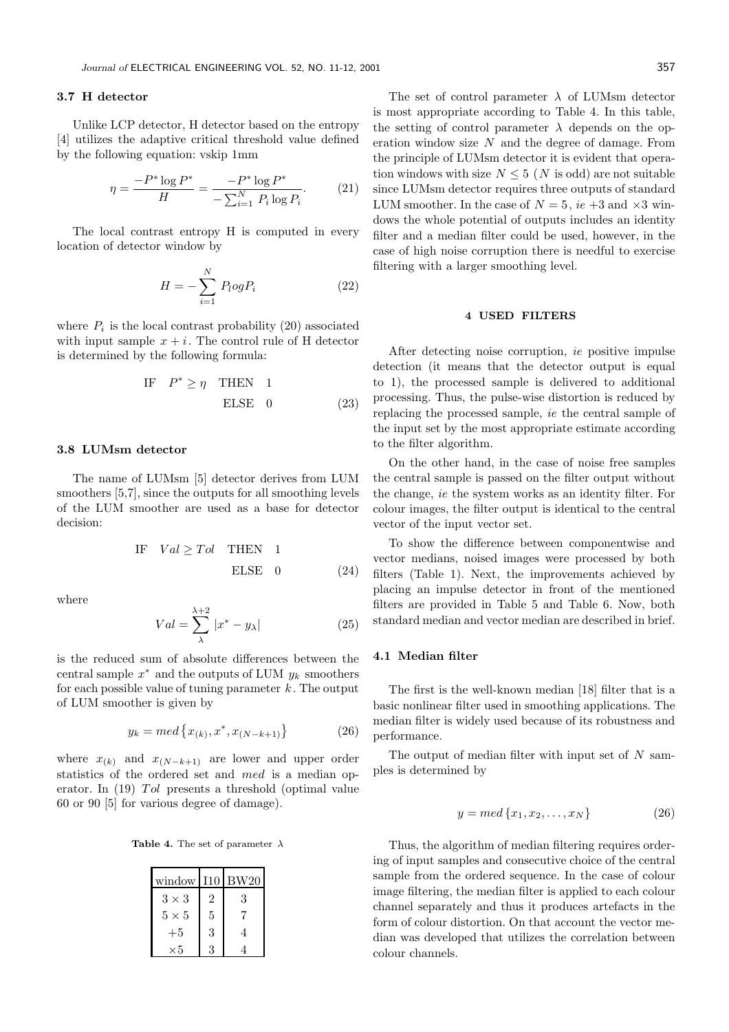### **3.7 H detector**

Unlike LCP detector, H detector based on the entropy [4] utilizes the adaptive critical threshold value defined by the following equation: vskip 1mm

$$
\eta = \frac{-P^* \log P^*}{H} = \frac{-P^* \log P^*}{-\sum_{i=1}^N P_i \log P_i}.
$$
 (21)

The local contrast entropy H is computed in every location of detector window by

$$
H = -\sum_{i=1}^{N} P_{i}ogP_{i}
$$
 (22)

where  $P_i$  is the local contrast probability (20) associated with input sample  $x + i$ . The control rule of H detector is determined by the following formula:

IF 
$$
P^* \ge \eta
$$
 THEN 1  
ELSE 0 (23)

#### **3.8 LUMsm detector**

The name of LUMsm [5] detector derives from LUM smoothers  $[5,7]$ , since the outputs for all smoothing levels of the LUM smoother are used as a base for detector decision:

IF 
$$
Val \geq Tol
$$
 THEN 1  
ELSE 0 (24)

where

$$
Val = \sum_{\lambda}^{\lambda+2} |x^* - y_{\lambda}| \tag{25}
$$

is the reduced sum of absolute differences between the central sample  $x^*$  and the outputs of LUM  $y_k$  smoothers for each possible value of tuning parameter  $k$ . The output of LUM smoother is given by

$$
y_k = med\{x_{(k)}, x^*, x_{(N-k+1)}\}\tag{26}
$$

where  $x_{(k)}$  and  $x_{(N-k+1)}$  are lower and upper order statistics of the ordered set and med is a median operator. In  $(19)$  *Tol* presents a threshold (optimal value 60 or 90 [5] for various degree of damage).

**Table 4.** The set of parameter  $\lambda$ 

| $window$ $110$ |   | BW20 |
|----------------|---|------|
| $3 \times 3$   | 2 | 3    |
| $5\times 5$    | 5 |      |
| $+5$           | 3 | 4    |
| $\times 5$     | २ |      |

The set of control parameter  $\lambda$  of LUMsm detector is most appropriate according to Table 4. In this table, the setting of control parameter  $\lambda$  depends on the operation window size  $N$  and the degree of damage. From the principle of LUMsm detector it is evident that operation windows with size  $N \leq 5$  (N is odd) are not suitable since LUMsm detector requires three outputs of standard LUM smoother. In the case of  $N = 5$ , *ie* +3 and  $\times 3$  windows the whole potential of outputs includes an identity filter and a median filter could be used, however, in the case of high noise corruption there is needful to exercise filtering with a larger smoothing level.

### **4 USED FILTERS**

After detecting noise corruption, *ie* positive impulse detection (it means that the detector output is equal to 1), the processed sample is delivered to additional processing. Thus, the pulse-wise distortion is reduced by replacing the processed sample, *ie* the central sample of the input set by the most appropriate estimate according to the filter algorithm.

On the other hand, in the case of noise free samples the central sample is passed on the filter output without the change, *ie* the system works as an identity filter. For colour images, the filter output is identical to the central vector of the input vector set.

To show the difference between componentwise and vector medians, noised images were processed by both filters (Table 1). Next, the improvements achieved by placing an impulse detector in front of the mentioned filters are provided in Table 5 and Table 6. Now, both standard median and vector median are described in brief.

### **4.1 Median filter**

The first is the well-known median [18] filter that is a basic nonlinear filter used in smoothing applications. The median filter is widely used because of its robustness and performance.

The output of median filter with input set of  $N$  samples is determined by

$$
y = med\{x_1, x_2, \dots, x_N\} \tag{26}
$$

Thus, the algorithm of median filtering requires ordering of input samples and consecutive choice of the central sample from the ordered sequence. In the case of colour image filtering, the median filter is applied to each colour channel separately and thus it produces artefacts in the form of colour distortion. On that account the vector median was developed that utilizes the correlation between colour channels.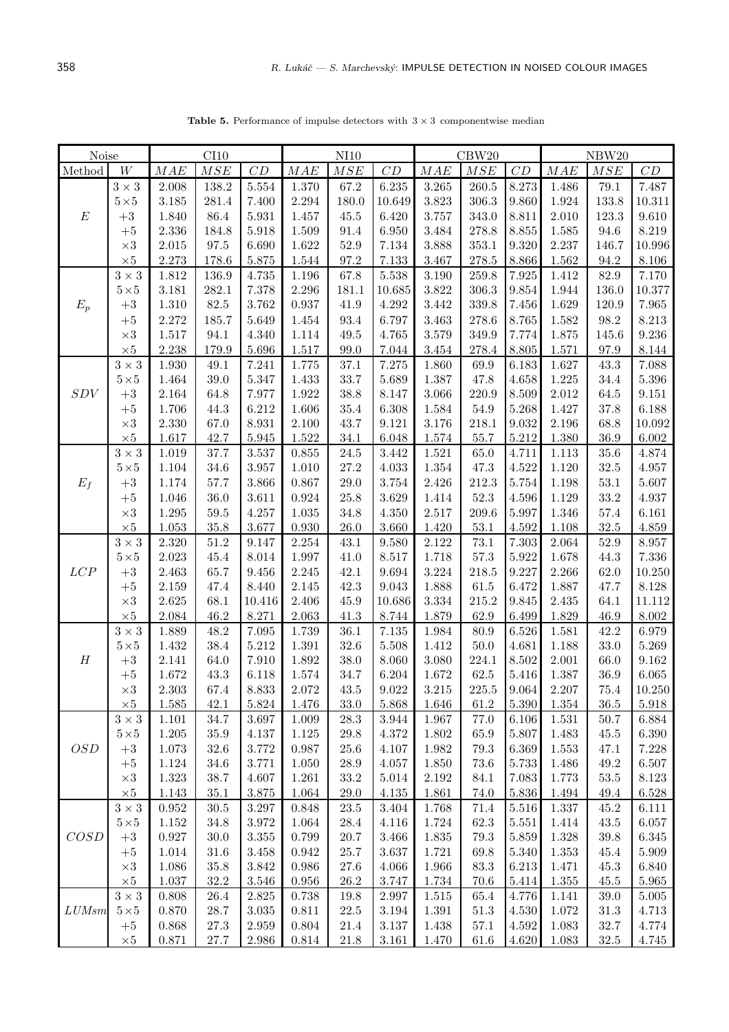| Noise            |                    | CI10           |              |                    | NI10           |              |                      | CBW20          |               |                | NBW20              |              |                      |
|------------------|--------------------|----------------|--------------|--------------------|----------------|--------------|----------------------|----------------|---------------|----------------|--------------------|--------------|----------------------|
| Method           | $\ensuremath{W}$   | MAE            | MSE          | CD                 | MAE            | MSE          | CD                   | $MAE$          | $MSE$         | CD             | MAE                | MSE          | $\cal CD$            |
|                  | $3\times3$         | 2.008          | 138.2        | 5.554              | 1.370          | 67.2         | 6.235                | 3.265          | 260.5         | 8.273          | 1.486              | 79.1         | 7.487                |
|                  | $5\!\times\!5$     | 3.185          | 281.4        | 7.400              | 2.294          | 180.0        | 10.649               | 3.823          | 306.3         | 9.860          | 1.924              | 133.8        | $10.311\,$           |
| $E\,$            | $+3$               | 1.840          | 86.4         | 5.931              | 1.457          | 45.5         | 6.420                | 3.757          | 343.0         | 8.811          | 2.010              | 123.3        | $9.610\,$            |
|                  | $+5$               | 2.336          | 184.8        | 5.918              | 1.509          | 91.4         | 6.950                | 3.484          | 278.8         | 8.855          | 1.585              | 94.6         | $8.219\,$            |
|                  | $\times 3$         | 2.015          | $97.5\,$     | 6.690              | 1.622          | $52.9\,$     | 7.134                | 3.888          | 353.1         | 9.320          | 2.237              | 146.7        | $10.996\,$           |
|                  | $\times 5$         | 2.273          | 178.6        | 5.875              | 1.544          | 97.2         | 7.133                | 3.467          | $278.5\,$     | 8.866          | 1.562              | 94.2         | 8.106                |
|                  | $3\times3$         | 1.812          | 136.9        | 4.735              | 1.196          | 67.8         | $5.538\,$            | 3.190          | 259.8         | 7.925          | 1.412              | 82.9         | 7.170                |
|                  | $5\!\times\!5$     | 3.181          | 282.1        | 7.378              | 2.296          | 181.1        | 10.685               | 3.822          | $306.3\,$     | 9.854          | 1.944              | 136.0        | $10.377\,$           |
| $E_p$            | $+3$               | 1.310          | $82.5\,$     | 3.762              | 0.937          | 41.9         | 4.292                | 3.442          | 339.8         | 7.456          | 1.629              | 120.9        | 7.965                |
|                  | $+5$               | 2.272          | 185.7        | 5.649              | 1.454          | 93.4         | 6.797                | 3.463          | 278.6         | 8.765          | 1.582              | 98.2         | 8.213                |
|                  | $\times 3$         | $1.517\,$      | 94.1         | 4.340              | 1.114          | 49.5         | 4.765                | 3.579          | 349.9         | 7.774          | 1.875              | 145.6        | 9.236                |
|                  | $\times 5$         | 2.238          | 179.9        | 5.696              | 1.517          | 99.0         | 7.044                | 3.454          | 278.4         | 8.805          | 1.571              | 97.9         | 8.144                |
|                  | $3\times3$         | $1.930\,$      | $49.1\,$     | 7.241              | 1.775          | 37.1         | $7.275\,$            | 1.860          | 69.9          | 6.183          | 1.627              | 43.3         | 7.088                |
|                  | $5\!\times\!5$     | 1.464          | 39.0         | 5.347              | 1.433          | 33.7         | 5.689                | 1.387          | 47.8          | 4.658          | 1.225              | 34.4         | $5.396\,$            |
| SDV              | $+3$               | 2.164          | 64.8         | 7.977              | 1.922          | 38.8         | 8.147                | 3.066          | 220.9         | 8.509          | 2.012              | 64.5         | $\boldsymbol{9.151}$ |
|                  | $+5$               | 1.706          | 44.3         | 6.212              | 1.606          | 35.4         | 6.308                | 1.584          | $54.9\,$      | 5.268          | 1.427              | 37.8         | 6.188                |
|                  | $\times 3$         | 2.330          | 67.0         | 8.931              | 2.100          | 43.7         | 9.121                | 3.176          | 218.1         | 9.032          | 2.196              | 68.8         | 10.092               |
|                  | $\times 5$         | 1.617          | 42.7         | 5.945              | 1.522          | 34.1         | 6.048                | 1.574          | 55.7          | 5.212          | 1.380              | 36.9         | $6.002\,$            |
|                  | $3\times3$         | 1.019          | 37.7         | $3.537\,$          | 0.855          | $24.5\,$     | 3.442                | 1.521          | 65.0          | 4.711          | 1.113              | $35.6\,$     | 4.874                |
|                  | $5\times5$         | 1.104          | 34.6         | 3.957              | 1.010          | 27.2         | 4.033                | $1.354\,$      | 47.3          | 4.522          | 1.120              | $32.5\,$     | 4.957                |
| $E_f$            | $+3$               | 1.174          | 57.7         | 3.866              | 0.867          | $29.0\,$     | $3.754\,$            | 2.426          | 212.3         | 5.754          | 1.198              | $53.1\,$     | 5.607                |
|                  | $+5$               | 1.046          | 36.0         | 3.611              | 0.924          | $25.8\,$     | 3.629                | 1.414          | 52.3          | 4.596          | 1.129              | $33.2\,$     | 4.937                |
|                  | $\times 3$         | $1.295\,$      | $59.5\,$     | 4.257              | 1.035          | 34.8         | 4.350                | 2.517          | 209.6         | 5.997          | 1.346              | 57.4         | 6.161                |
|                  | $\times 5$         | $1.053\,$      | $35.8\,$     | 3.677              | 0.930          | 26.0         | 3.660                | 1.420          | $53.1\,$      | 4.592          | 1.108              | $32.5\,$     | $4.859\,$            |
|                  | $3\times3$         | $2.320\,$      | $51.2\,$     | 9.147              | 2.254          | 43.1         | 9.580                | 2.122          | $73.1\,$      | 7.303          | $\phantom{-}2.064$ | $52.9\,$     | 8.957                |
|                  | $5\!\times\!5$     | 2.023          | 45.4         | 8.014              | 1.997          | 41.0         | 8.517                | 1.718          | $57.3\,$      | 5.922          | 1.678              | 44.3         | $7.336\,$            |
| LCP              | $\rm +3$           | 2.463          | 65.7<br>47.4 | 9.456              | 2.245          | 42.1<br>42.3 | 9.694<br>9.043       | 3.224<br>1.888 | 218.5<br>61.5 | 9.227<br>6.472 | 2.266              | 62.0         | $10.250\,$<br>8.128  |
|                  | $+5$<br>$\times 3$ | 2.159<br>2.625 | 68.1         | 8.440<br>10.416    | 2.145<br>2.406 | 45.9         | 10.686               | 3.334          | 215.2         | 9.845          | 1.887<br>2.435     | 47.7<br>64.1 | 11.112               |
|                  | $\times 5$         | 2.084          | 46.2         | 8.271              | 2.063          | 41.3         | 8.744                | 1.879          | 62.9          | 6.499          | 1.829              | 46.9         | $8.002\,$            |
|                  | $3\times3$         | 1.889          | 48.2         | $7.095\,$          | 1.739          | 36.1         | $7.135\,$            | 1.984          | 80.9          | 6.526          | 1.581              | 42.2         | 6.979                |
|                  | $5\times5$         | 1.432          | 38.4         | $5.212\,$          | 1.391          | 32.6         | 5.508                | 1.412          | $50.0\,$      | 4.681          | 1.188              | $33.0\,$     | 5.269                |
| $\boldsymbol{H}$ | $+3$               | 2.141          | 64.0         | 7.910              | 1.892          | 38.0         | 8.060                | 3.080          | 224.1         | 8.502          | 2.001              | 66.0         | 9.162                |
|                  | $+5$               | 1.672          | 43.3         | 6.118              | 1.574          | 34.7         | 6.204                | 1.672          | 62.5          | 5.416          | 1.387              | 36.9         | 6.065                |
|                  | $\times 3$         | $2.303\,$      | $67.4\,$     | $8.833\,$          | $2.072\,$      | $43.5\,$     | $\boldsymbol{9.022}$ | $3.215\,$      | $225.5\,$     | $9.064\,$      | $2.207\,$          | $75.4\,$     | 10.250               |
|                  | $\times 5$         | 1.585          | 42.1         | 5.824              | 1.476          | 33.0         | 5.868                | 1.646          | 61.2          | 5.390          | 1.354              | 36.5         | 5.918                |
|                  | $3\times3$         | 1.101          | 34.7         | 3.697              | 1.009          | $28.3\,$     | $3.944\,$            | 1.967          | 77.0          | 6.106          | 1.531              | 50.7         | 6.884                |
|                  | $5\times5$         | 1.205          | $35.9\,$     | 4.137              | 1.125          | 29.8         | 4.372                | 1.802          | 65.9          | 5.807          | 1.483              | 45.5         | 6.390                |
| OSD              | $+3$               | 1.073          | $32.6\,$     | 3.772              | 0.987          | $25.6\,$     | 4.107                | 1.982          | $79.3\,$      | 6.369          | 1.553              | 47.1         | 7.228                |
|                  | $+5$               | 1.124          | 34.6         | 3.771              | 1.050          | 28.9         | 4.057                | 1.850          | $73.6\,$      | 5.733          | 1.486              | 49.2         | 6.507                |
|                  | $\times 3$         | 1.323          | 38.7         | 4.607              | 1.261          | 33.2         | 5.014                | $2.192\,$      | 84.1          | 7.083          | 1.773              | $53.5\,$     | $8.123\,$            |
|                  | $\times 5$         | 1.143          | $35.1\,$     | 3.875              | 1.064          | $29.0\,$     | 4.135                | 1.861          | 74.0          | $5.836\,$      | 1.494              | 49.4         | 6.528                |
|                  | $3\times3$         | 0.952          | $30.5\,$     | $3.297\,$          | 0.848          | $23.5\,$     | 3.404                | 1.768          | 71.4          | $5.516\,$      | 1.337              | $45.2\,$     | 6.111                |
|                  | $5\!\times\!5$     | 1.152          | 34.8         | 3.972              | 1.064          | $28.4\,$     | 4.116                | 1.724          | $62.3\,$      | 5.551          | 1.414              | 43.5         | 6.057                |
| COSD             | $+3$               | $0.927\,$      | $30.0\,$     | $3.355\,$          | 0.799          | 20.7         | 3.466                | 1.835          | 79.3          | 5.859          | 1.328              | 39.8         | $6.345\,$            |
|                  | $+5$               | 1.014          | $31.6\,$     | 3.458              | 0.942          | $25.7\,$     | 3.637                | 1.721          | 69.8          | 5.340          | 1.353              | 45.4         | 5.909                |
|                  | $\times 3$         | 1.086          | $35.8\,$     | 3.842              | 0.986          | 27.6         | 4.066                | 1.966          | $83.3\,$      | 6.213          | 1.471              | 45.3         | 6.840                |
|                  | $\times 5$         | $1.037\,$      | $32.2\,$     | 3.546              | 0.956          | $26.2\,$     | 3.747                | 1.734          | 70.6          | 5.414          | $1.355\,$          | $45.5\,$     | $5.965\,$            |
|                  | $3\times3$         | 0.808          | $26.4\,$     | $2.825\,$          | $0.738\,$      | 19.8         | 2.997                | 1.515          | 65.4          | 4.776          | 1.141              | 39.0         | $5.005\,$            |
| LUMsm            | $5\times5$         | 0.870          | 28.7         | $3.035\,$          | 0.811          | $22.5\,$     | 3.194                | 1.391          | 51.3          | 4.530          | 1.072              | 31.3         | 4.713                |
|                  | $+5$               | 0.868          | 27.3         | 2.959              | 0.804          | $21.4\,$     | $3.137\,$            | 1.438          | $57.1\,$      | 4.592          | 1.083              | $32.7\,$     | 4.774                |
|                  | $\times 5$         | 0.871          | $27.7\,$     | $\phantom{-}2.986$ | 0.814          | $21.8\,$     | 3.161                | 1.470          | 61.6          | 4.620          | 1.083              | $32.5\,$     | 4.745                |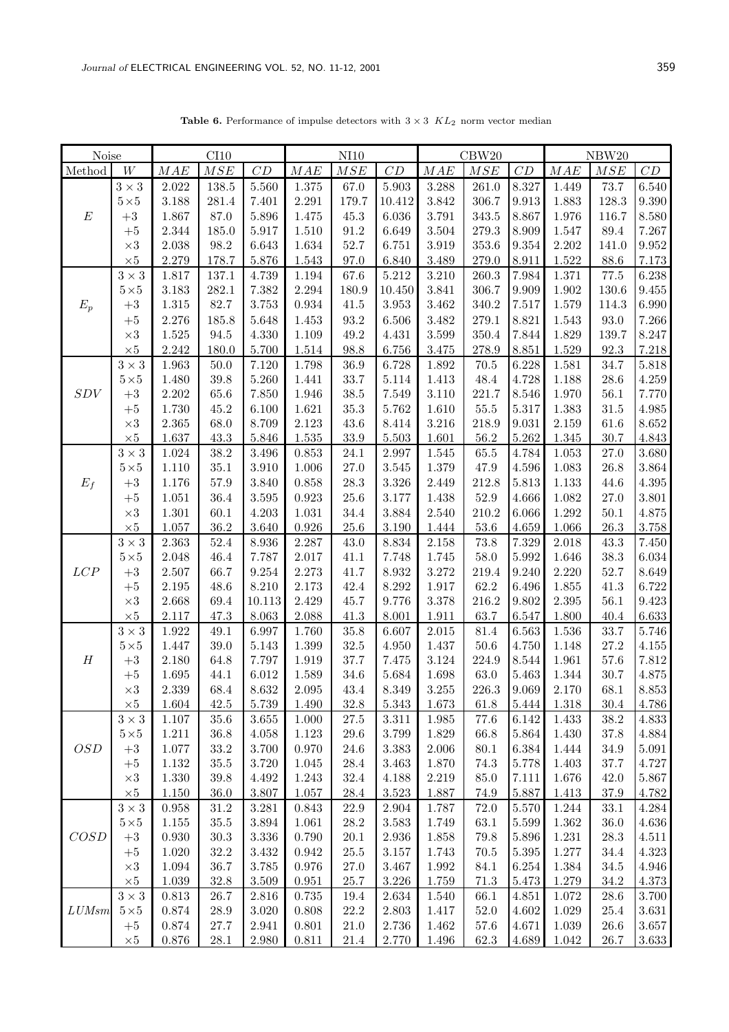**Table 6.** Performance of impulse detectors with  $3 \times 3$   $KL_2$  norm vector median

| Noise            |                            | CI10               |                  |                | NI10           |                      |                    | CBW20              |               |                | NBW20          |                      |                      |
|------------------|----------------------------|--------------------|------------------|----------------|----------------|----------------------|--------------------|--------------------|---------------|----------------|----------------|----------------------|----------------------|
| Method           | W                          | MAE                | MSE              | CD             | $MAE$          | MSE                  | CD                 | MAE                | MSE           | CD             | MAE            | MSE                  | ${\cal C}{\cal D}$   |
|                  | $3\times3$                 | 2.022              | 138.5            | 5.560          | 1.375          | 67.0                 | $5.903\,$          | 3.288              | 261.0         | 8.327          | 1.449          | 73.7                 | 6.540                |
|                  | $5\!\times\!5$             | 3.188              | 281.4            | 7.401          | 2.291          | 179.7                | 10.412             | 3.842              | 306.7         | 9.913          | 1.883          | 128.3                | $9.390\,$            |
| $\boldsymbol{E}$ | $\rm +3$                   | 1.867              | $87.0\,$         | 5.896          | 1.475          | 45.3                 | 6.036              | $3.791\,$          | 343.5         | 8.867          | 1.976          | 116.7                | 8.580                |
|                  | $+5$                       | 2.344              | 185.0            | $5.917\,$      | $1.510\,$      | $91.2\,$             | 6.649              | 3.504              | 279.3         | 8.909          | 1.547          | $89.4\,$             | $7.267\,$            |
|                  | $\times 3$                 | 2.038              | $98.2\,$         | 6.643          | 1.634          | 52.7                 | 6.751              | $3.919\,$          | $353.6\,$     | 9.354          | 2.202          | 141.0                | $\boldsymbol{9.952}$ |
|                  | $\times 5$                 | 2.279              | 178.7            | 5.876          | 1.543          | 97.0                 | 6.840              | $3.489\,$          | $279.0\,$     | 8.911          | 1.522          | 88.6                 | $7.173\,$            |
|                  | $3\times3$                 | 1.817              | 137.1            | 4.739          | 1.194          | 67.6                 | 5.212              | $3.210\,$          | 260.3         | 7.984          | 1.371          | 77.5                 | 6.238                |
|                  | $5\!\times\!5$             | $3.183\,$          | 282.1            | 7.382          | 2.294          | 180.9                | 10.450             | 3.841              | 306.7         | 9.909          | 1.902          | 130.6                | $9.455\,$            |
| $E_p$            | $\rm +3$                   | $1.315\,$          | 82.7             | 3.753          | 0.934          | 41.5                 | 3.953              | 3.462              | $340.2\,$     | 7.517          | 1.579          | 114.3                | 6.990                |
|                  | $+5\,$                     | 2.276              | 185.8            | 5.648          | 1.453          | 93.2                 | 6.506              | $3.482\,$          | 279.1         | 8.821          | 1.543          | $93.0\,$             | 7.266                |
|                  | $\times 3$                 | $1.525\,$          | 94.5             | 4.330          | 1.109          | 49.2                 | 4.431              | $3.599\,$          | 350.4         | 7.844          | 1.829          | 139.7                | 8.247                |
|                  | $\times 5$                 | $2.242\,$          | 180.0            | 5.700          | 1.514          | 98.8                 | 6.756              | $3.475\,$          | 278.9         | 8.851          | 1.529          | 92.3                 | 7.218                |
|                  | $3\times3$                 | 1.963              | $50.0\,$         | 7.120          | 1.798          | $36.9\,$             | 6.728              | $1.892\,$          | $70.5\,$      | 6.228          | 1.581          | 34.7                 | $5.818\,$            |
| SDV              | $5\!\times\!5$<br>$\rm +3$ | 1.480<br>$2.202\,$ | 39.8<br>65.6     | 5.260<br>7.850 | 1.441<br>1.946 | 33.7<br>$38.5\,$     | 5.114<br>$7.549\,$ | 1.413<br>$3.110\,$ | 48.4<br>221.7 | 4.728<br>8.546 | 1.188<br>1.970 | $28.6\,$<br>$56.1\,$ | $4.259\,$<br>7.770   |
|                  | $+5\,$                     | 1.730              | 45.2             | 6.100          | 1.621          | $35.3\,$             | 5.762              | $1.610\,$          | $55.5\,$      | $5.317\,$      | 1.383          | $31.5\,$             | $4.985\,$            |
|                  | $\times 3$                 | 2.365              | 68.0             | 8.709          | $2.123\,$      | 43.6                 | 8.414              | $3.216\,$          | 218.9         | 9.031          | $2.159\,$      | 61.6                 | $8.652\,$            |
|                  | $\times 5$                 | 1.637              | 43.3             | 5.846          | $1.535\,$      | 33.9                 | $5.503\,$          | 1.601              | $56.2\,$      | $5.262\,$      | 1.345          | 30.7                 | 4.843                |
|                  | $3\times3$                 | 1.024              | $38.2\,$         | 3.496          | 0.853          | 24.1                 | 2.997              | $1.545\,$          | 65.5          | 4.784          | 1.053          | 27.0                 | 3.680                |
|                  | $5\!\times\!5$             | 1.110              | $35.1\,$         | $3.910\,$      | 1.006          | $27.0\,$             | $3.545\,$          | $1.379\,$          | 47.9          | 4.596          | 1.083          | 26.8                 | $3.864\,$            |
| $E_f$            | $+3$                       | 1.176              | $57.9\,$         | 3.840          | 0.858          | $28.3\,$             | $3.326\,$          | 2.449              | 212.8         | 5.813          | 1.133          | 44.6                 | $4.395\,$            |
|                  | $+5\,$                     | 1.051              | 36.4             | $3.595\,$      | 0.923          | $25.6\,$             | 3.177              | 1.438              | $52.9\,$      | 4.666          | 1.082          | 27.0                 | $3.801\,$            |
|                  | $\times 3$                 | 1.301              | 60.1             | 4.203          | 1.031          | 34.4                 | 3.884              | 2.540              | 210.2         | 6.066          | 1.292          | 50.1                 | $4.875\,$            |
|                  | $\times 5$                 | 1.057              | 36.2             | 3.640          | 0.926          | $25.6\,$             | 3.190              | 1.444              | $53.6\,$      | 4.659          | 1.066          | 26.3                 | $3.758\,$            |
|                  | $3\times3$                 | 2.363              | 52.4             | 8.936          | 2.287          | 43.0                 | 8.834              | $2.158\,$          | 73.8          | 7.329          | 2.018          | 43.3                 | 7.450                |
|                  | $5\!\times\!5$             | 2.048              | 46.4             | 7.787          | 2.017          | 41.1                 | 7.748              | 1.745              | 58.0          | 5.992          | 1.646          | 38.3                 | 6.034                |
| LCP              | $\rm +3$                   | 2.507              | 66.7             | 9.254          | 2.273          | 41.7                 | 8.932              | 3.272              | 219.4         | 9.240          | 2.220          | 52.7                 | 8.649                |
|                  | $+5\,$                     | 2.195              | 48.6             | 8.210          | 2.173          | 42.4                 | 8.292              | 1.917              | 62.2          | 6.496          | 1.855          | 41.3                 | $6.722\,$            |
|                  | $\times 3$                 | 2.668              | 69.4             | 10.113         | 2.429          | 45.7                 | 9.776              | 3.378              | 216.2         | 9.802          | 2.395          | 56.1                 | $9.423\,$            |
|                  | $\times 5$                 | 2.117              | 47.3             | 8.063          | 2.088          | 41.3                 | 8.001              | 1.911              | 63.7          | 6.547          | 1.800          | 40.4                 | 6.633                |
|                  | $3\times3$                 | 1.922              | 49.1             | 6.997          | 1.760          | $35.8\,$             | 6.607              | $2.015\,$          | 81.4          | 6.563          | 1.536          | 33.7                 | 5.746                |
|                  | $5\!\times\!5$             | 1.447              | 39.0             | 5.143          | 1.399          | $32.5\,$             | 4.950              | 1.437              | $50.6$        | 4.750          | 1.148          | 27.2                 | $4.155\,$            |
| $\boldsymbol{H}$ | $\rm +3$                   | 2.180              | 64.8             | 7.797          | 1.919          | 37.7                 | 7.475              | $3.124\,$          | 224.9         | 8.544          | 1.961          | 57.6                 | $7.812\,$            |
|                  | $+5$                       | 1.695              | 44.1             | 6.012          | 1.589          | 34.6                 | 5.684              | 1.698              | 63.0          | 5.463          | 1.344          | 30.7                 | 4.875                |
|                  | $\times 3$                 | 2.339              | 68.4             | 8.632          | 2.095          | 43.4                 | $8.349\,$          | $3.255\,$          | 226.3         | 9.069          | 2.170          | 68.1                 | 8.853                |
|                  | $\times 5$                 | 1.604              | 42.5             | 5.739          | 1.490          | $32.8\,$             | $5.343\,$          | 1.673              | 61.8          | 5.444          | 1.318          | 30.4                 | 4.786                |
|                  | $3\times3$<br>$5 \times 5$ | 1.107<br>1.211     | 35.6<br>$36.8\,$ | 3.655<br>4.058 | 1.000<br>1.123 | $27.5\,$<br>$29.6\,$ | 3.311<br>3.799     | 1.985<br>$1.829\,$ | 77.6<br>66.8  | 6.142<br>5.864 | 1.433<br>1.430 | $38.2\,$<br>37.8     | 4.833<br>4.884       |
| <i>OSD</i>       | $+3$                       | 1.077              | $33.2\,$         | 3.700          | 0.970          | 24.6                 | 3.383              | $2.006\,$          | 80.1          | 6.384          | 1.444          | 34.9                 | $5.091\,$            |
|                  | $+5$                       | 1.132              | $35.5\,$         | 3.720          | 1.045          | $28.4\,$             | 3.463              | 1.870              | 74.3          | 5.778          | 1.403          | 37.7                 | 4.727                |
|                  | $\times 3$                 | 1.330              | $39.8\,$         | 4.492          | 1.243          | 32.4                 | 4.188              | 2.219              | 85.0          | 7.111          | 1.676          | 42.0                 | 5.867                |
|                  | $\times 5$                 | $1.150\,$          | 36.0             | 3.807          | 1.057          | $28.4\,$             | $3.523\,$          | 1.887              | 74.9          | 5.887          | 1.413          | $37.9\,$             | 4.782                |
|                  | $3\times3$                 | 0.958              | $31.2\,$         | 3.281          | 0.843          | 22.9                 | 2.904              | 1.787              | 72.0          | 5.570          | 1.244          | 33.1                 | 4.284                |
|                  | $5\!\times\!5$             | 1.155              | $35.5\,$         | 3.894          | 1.061          | 28.2                 | 3.583              | 1.749              | 63.1          | 5.599          | 1.362          | 36.0                 | 4.636                |
| COSD             | $\rm +3$                   | 0.930              | $30.3\,$         | $3.336\,$      | 0.790          | $20.1\,$             | 2.936              | 1.858              | 79.8          | 5.896          | 1.231          | $28.3\,$             | 4.511                |
|                  | $+5$                       | 1.020              | $32.2\,$         | $3.432\,$      | 0.942          | $25.5\,$             | 3.157              | 1.743              | 70.5          | $5.395\,$      | 1.277          | 34.4                 | $4.323\,$            |
|                  | $\times 3$                 | 1.094              | 36.7             | 3.785          | 0.976          | 27.0                 | 3.467              | 1.992              | 84.1          | 6.254          | 1.384          | 34.5                 | $4.946\,$            |
|                  | $\times 5$                 | 1.039              | $32.8\,$         | 3.509          | 0.951          | 25.7                 | $3.226\,$          | 1.759              | $71.3\,$      | 5.473          | 1.279          | 34.2                 | 4.373                |
|                  | $3\times3$                 | 0.813              | 26.7             | 2.816          | 0.735          | 19.4                 | 2.634              | 1.540              | 66.1          | 4.851          | 1.072          | 28.6                 | 3.700                |
| LUMsm            | $5\!\times\!5$             | 0.874              | 28.9             | 3.020          | 0.808          | $22.2\,$             | 2.803              | 1.417              | 52.0          | 4.602          | 1.029          | 25.4                 | $3.631\,$            |
|                  | $+5$                       | 0.874              | 27.7             | 2.941          | 0.801          | 21.0                 | 2.736              | 1.462              | 57.6          | 4.671          | $1.039\,$      | 26.6                 | $3.657\,$            |
|                  | $\times 5$                 | 0.876              | $28.1\,$         | 2.980          | 0.811          | 21.4                 | 2.770              | 1.496              | 62.3          | 4.689          | 1.042          | 26.7                 | 3.633                |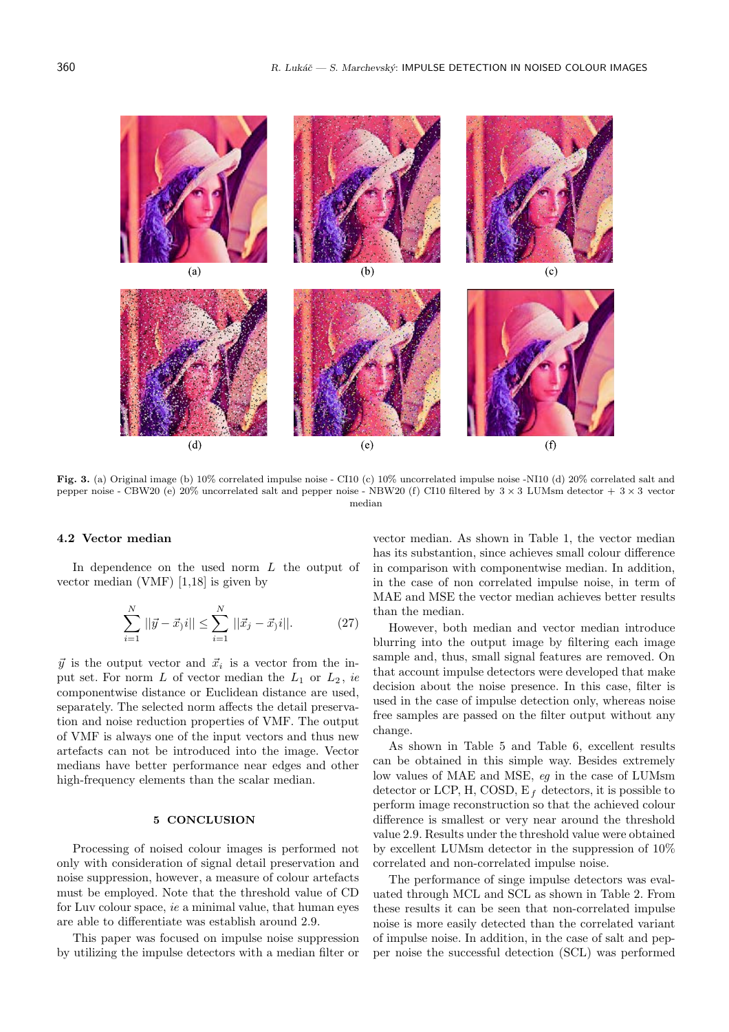$(a)$  $(b)$  $(c)$  $(d)$  $(e)$  $(f)$ 

**Fig. 3.** (a) Original image (b) 10% correlated impulse noise - CI10 (c) 10% uncorrelated impulse noise -NI10 (d) 20% correlated salt and pepper noise - CBW20 (e)  $20\%$  uncorrelated salt and pepper noise - NBW20 (f) CI10 filtered by  $3 \times 3$  LUMsm detector +  $3 \times 3$  vector median

### **4.2 Vector median**

In dependence on the used norm L the output of vector median (VMF) [1,18] is given by

$$
\sum_{i=1}^{N} ||\vec{y} - \vec{x}_j i|| \le \sum_{i=1}^{N} ||\vec{x}_j - \vec{x}_j i||. \tag{27}
$$

 $\vec{y}$  is the output vector and  $\vec{x}_i$  is a vector from the input set. For norm  $L$  of vector median the  $L_1$  or  $L_2$ , *ie* componentwise distance or Euclidean distance are used, separately. The selected norm affects the detail preservation and noise reduction properties of VMF. The output of VMF is always one of the input vectors and thus new artefacts can not be introduced into the image. Vector medians have better performance near edges and other high-frequency elements than the scalar median.

#### **5 CONCLUSION**

Processing of noised colour images is performed not only with consideration of signal detail preservation and noise suppression, however, a measure of colour artefacts must be employed. Note that the threshold value of CD for Luv colour space, *ie* a minimal value, that human eyes are able to differentiate was establish around 2.9.

This paper was focused on impulse noise suppression by utilizing the impulse detectors with a median filter or vector median. As shown in Table 1, the vector median has its substantion, since achieves small colour difference in comparison with componentwise median. In addition, in the case of non correlated impulse noise, in term of MAE and MSE the vector median achieves better results than the median.

However, both median and vector median introduce blurring into the output image by filtering each image sample and, thus, small signal features are removed. On that account impulse detectors were developed that make decision about the noise presence. In this case, filter is used in the case of impulse detection only, whereas noise free samples are passed on the filter output without any change.

As shown in Table 5 and Table 6, excellent results can be obtained in this simple way. Besides extremely low values of MAE and MSE, *eg* in the case of LUMsm detector or LCP, H, COSD,  $E_f$  detectors, it is possible to perform image reconstruction so that the achieved colour difference is smallest or very near around the threshold value 2.9. Results under the threshold value were obtained by excellent LUMsm detector in the suppression of 10% correlated and non-correlated impulse noise.

The performance of singe impulse detectors was evaluated through MCL and SCL as shown in Table 2. From these results it can be seen that non-correlated impulse noise is more easily detected than the correlated variant of impulse noise. In addition, in the case of salt and pepper noise the successful detection (SCL) was performed